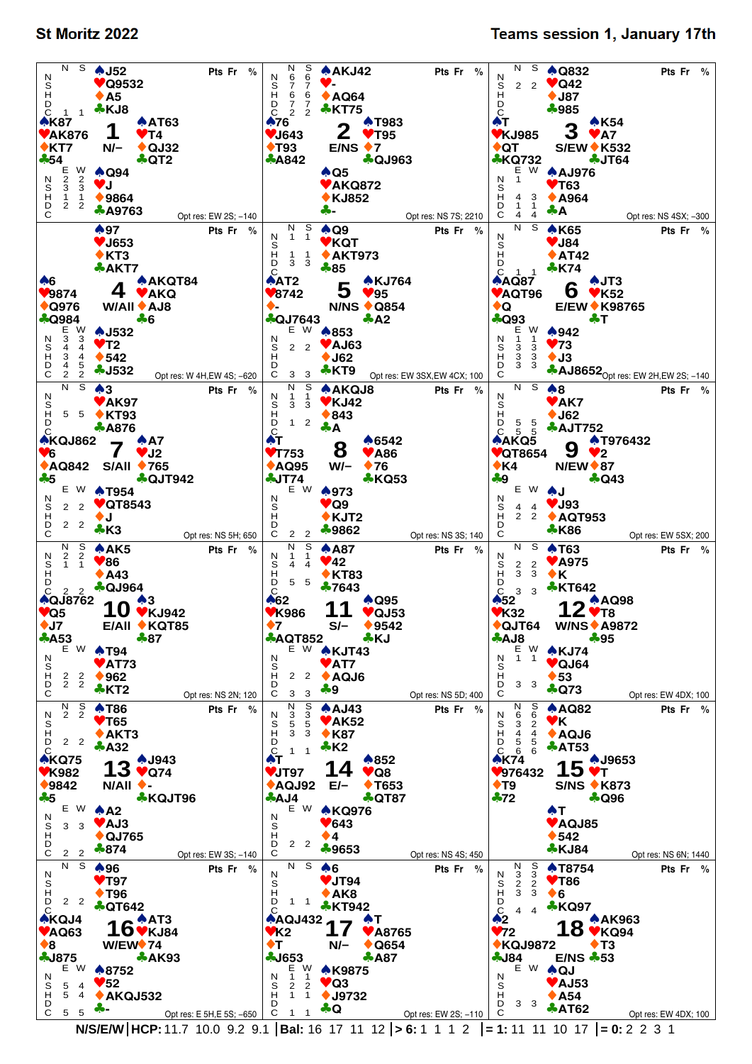